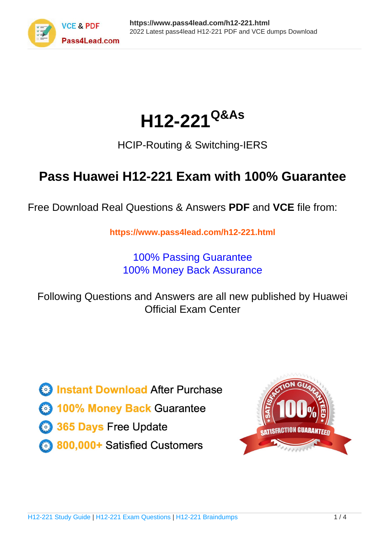

# **H12-221Q&As**

### HCIP-Routing & Switching-IERS

### **Pass Huawei H12-221 Exam with 100% Guarantee**

Free Download Real Questions & Answers **PDF** and **VCE** file from:

**https://www.pass4lead.com/h12-221.html**

100% Passing Guarantee 100% Money Back Assurance

Following Questions and Answers are all new published by Huawei Official Exam Center

**8 Instant Download After Purchase** 

**83 100% Money Back Guarantee** 

- 365 Days Free Update
- 800,000+ Satisfied Customers

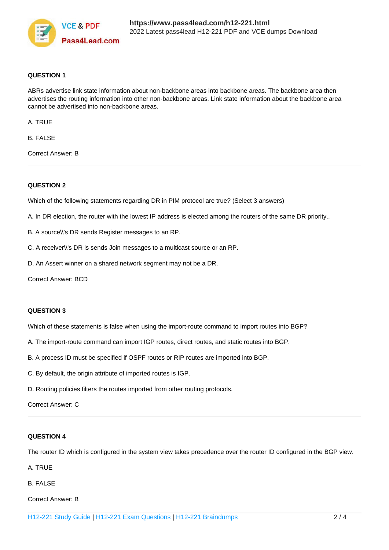

#### **QUESTION 1**

ABRs advertise link state information about non-backbone areas into backbone areas. The backbone area then advertises the routing information into other non-backbone areas. Link state information about the backbone area cannot be advertised into non-backbone areas.

A. TRUE

B. FALSE

Correct Answer: B

#### **QUESTION 2**

Which of the following statements regarding DR in PIM protocol are true? (Select 3 answers)

- A. In DR election, the router with the lowest IP address is elected among the routers of the same DR priority..
- B. A source\\'s DR sends Register messages to an RP.
- C. A receiver\\'s DR is sends Join messages to a multicast source or an RP.
- D. An Assert winner on a shared network segment may not be a DR.

Correct Answer: BCD

#### **QUESTION 3**

Which of these statements is false when using the import-route command to import routes into BGP?

- A. The import-route command can import IGP routes, direct routes, and static routes into BGP.
- B. A process ID must be specified if OSPF routes or RIP routes are imported into BGP.
- C. By default, the origin attribute of imported routes is IGP.
- D. Routing policies filters the routes imported from other routing protocols.

#### Correct Answer: C

#### **QUESTION 4**

The router ID which is configured in the system view takes precedence over the router ID configured in the BGP view.

A. TRUE

B. FALSE

Correct Answer: B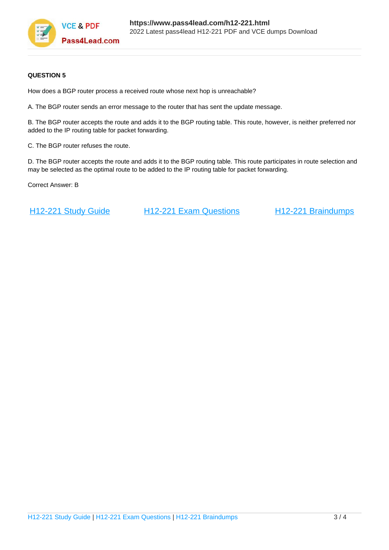

#### **QUESTION 5**

How does a BGP router process a received route whose next hop is unreachable?

A. The BGP router sends an error message to the router that has sent the update message.

B. The BGP router accepts the route and adds it to the BGP routing table. This route, however, is neither preferred nor added to the IP routing table for packet forwarding.

C. The BGP router refuses the route.

D. The BGP router accepts the route and adds it to the BGP routing table. This route participates in route selection and may be selected as the optimal route to be added to the IP routing table for packet forwarding.

Correct Answer: B

[H12-221 Study Guide](https://www.pass4lead.com/h12-221.html) [H12-221 Exam Questions](https://www.pass4lead.com/h12-221.html) [H12-221 Braindumps](https://www.pass4lead.com/h12-221.html)